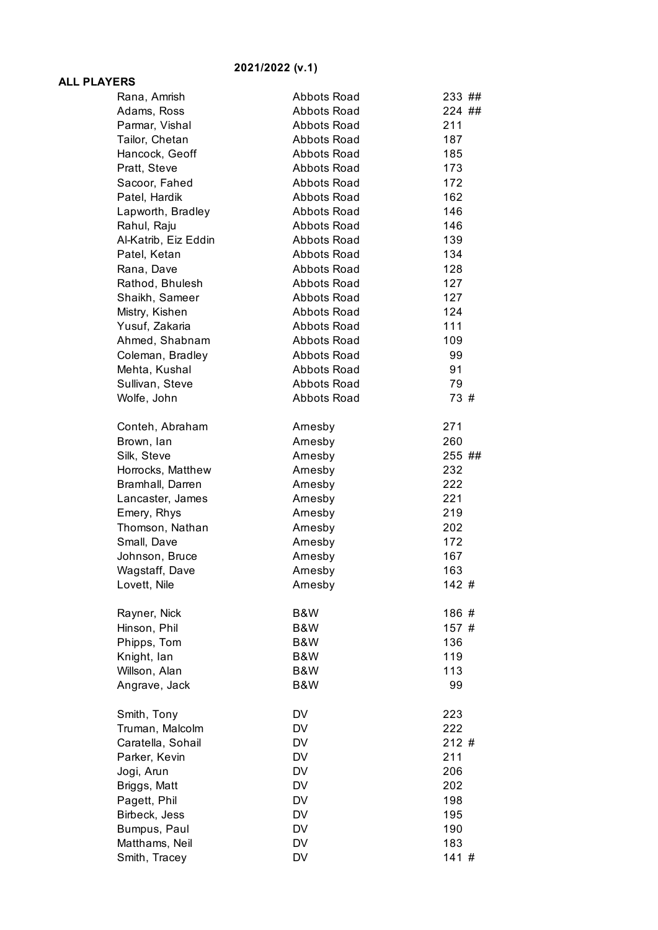## **2021/2022 (v.1)**

## **ALL PLAYERS**

| ERS                  |                    |        |
|----------------------|--------------------|--------|
| Rana, Amrish         | Abbots Road        | 233 ## |
| Adams, Ross          | Abbots Road        | 224 ## |
| Parmar, Vishal       | <b>Abbots Road</b> | 211    |
| Tailor, Chetan       | <b>Abbots Road</b> | 187    |
| Hancock, Geoff       | Abbots Road        | 185    |
| Pratt, Steve         | Abbots Road        | 173    |
| Sacoor, Fahed        | <b>Abbots Road</b> | 172    |
| Patel, Hardik        | <b>Abbots Road</b> | 162    |
| Lapworth, Bradley    | Abbots Road        | 146    |
| Rahul, Raju          | <b>Abbots Road</b> | 146    |
| Al-Katrib, Eiz Eddin | <b>Abbots Road</b> | 139    |
| Patel, Ketan         | Abbots Road        | 134    |
| Rana, Dave           | <b>Abbots Road</b> | 128    |
| Rathod, Bhulesh      | <b>Abbots Road</b> | 127    |
| Shaikh, Sameer       | Abbots Road        | 127    |
| Mistry, Kishen       | <b>Abbots Road</b> | 124    |
| Yusuf, Zakaria       | <b>Abbots Road</b> | 111    |
| Ahmed, Shabnam       | Abbots Road        | 109    |
| Coleman, Bradley     | <b>Abbots Road</b> | 99     |
| Mehta, Kushal        | <b>Abbots Road</b> | 91     |
| Sullivan, Steve      | Abbots Road        | 79     |
| Wolfe, John          | <b>Abbots Road</b> | 73 #   |
|                      |                    |        |
| Conteh, Abraham      | Arnesby            | 271    |
| Brown, lan           | Arnesby            | 260    |
| Silk, Steve          | Arnesby            | 255 ## |
| Horrocks, Matthew    | Arnesby            | 232    |
| Bramhall, Darren     | Arnesby            | 222    |
| Lancaster, James     | Arnesby            | 221    |
| Emery, Rhys          | Arnesby            | 219    |
| Thomson, Nathan      | Arnesby            | 202    |
| Small, Dave          | Arnesby            | 172    |
| Johnson, Bruce       | Arnesby            | 167    |
| Wagstaff, Dave       | Arnesby            | 163    |
| Lovett, Nile         | Arnesby            | 142#   |
| Rayner, Nick         | B&W                | 186#   |
| Hinson, Phil         | B&W                | 157 #  |
| Phipps, Tom          | B&W                | 136    |
| Knight, lan          | B&W                | 119    |
| Willson, Alan        | B&W                | 113    |
| Angrave, Jack        | B&W                | 99     |
|                      |                    |        |
| Smith, Tony          | DV                 | 223    |
| Truman, Malcolm      | <b>DV</b>          | 222    |
| Caratella, Sohail    | DV                 | 212#   |
| Parker, Kevin        | DV                 | 211    |
| Jogi, Arun           | <b>DV</b>          | 206    |
| Briggs, Matt         | DV                 | 202    |
| Pagett, Phil         | <b>DV</b>          | 198    |
| Birbeck, Jess        | DV                 | 195    |
| Bumpus, Paul         | DV                 | 190    |
| Matthams, Neil       | DV                 | 183    |
| Smith, Tracey        | <b>DV</b>          | 141#   |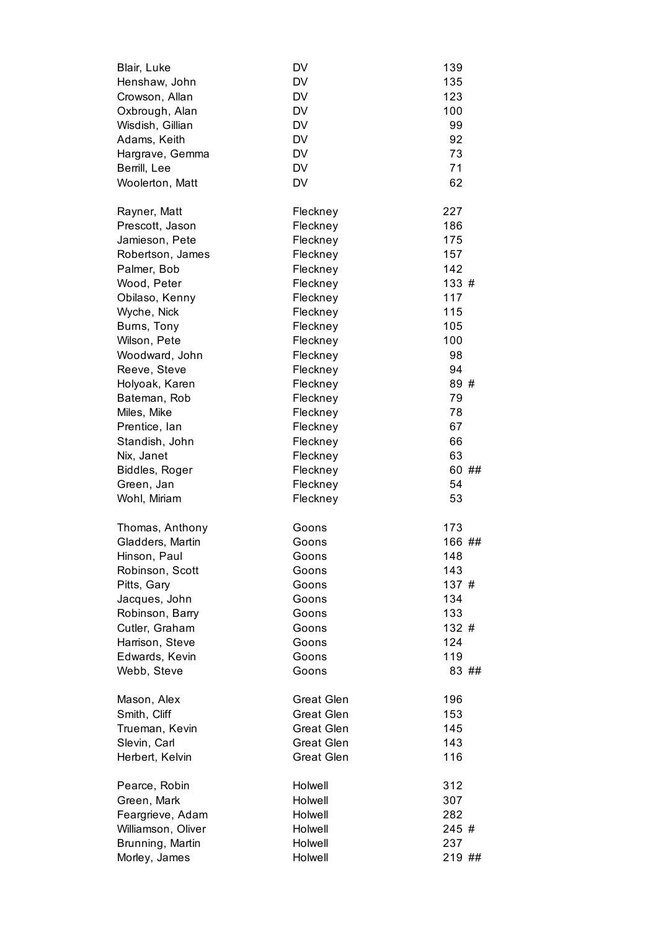| Blair, Luke        | DV                | 139    |
|--------------------|-------------------|--------|
| Henshaw, John      | <b>DV</b>         | 135    |
| Crowson, Allan     | <b>DV</b>         | 123    |
| Oxbrough, Alan     | <b>DV</b>         | 100    |
| Wisdish, Gillian   | <b>DV</b>         | 99     |
| Adams, Keith       | <b>DV</b>         | 92     |
| Hargrave, Gemma    | <b>DV</b>         | 73     |
| Berrill, Lee       | <b>DV</b>         | 71     |
| Woolerton, Matt    | <b>DV</b>         | 62     |
| Rayner, Matt       | Fleckney          | 227    |
| Prescott, Jason    | Fleckney          | 186    |
| Jamieson, Pete     | Fleckney          | 175    |
| Robertson, James   | Fleckney          | 157    |
| Palmer, Bob        | Fleckney          | 142    |
| Wood, Peter        | Fleckney          | 133#   |
| Obilaso, Kenny     | Fleckney          | 117    |
| Wyche, Nick        | Fleckney          | 115    |
| Burns, Tony        | Fleckney          | 105    |
| Wilson, Pete       | Fleckney          | 100    |
| Woodward, John     | Fleckney          | 98     |
| Reeve, Steve       | Fleckney          | 94     |
| Holyoak, Karen     | Fleckney          | 89 #   |
| Bateman, Rob       | Fleckney          | 79     |
| Miles, Mike        | Fleckney          | 78     |
| Prentice, Ian      | Fleckney          | 67     |
| Standish, John     | Fleckney          | 66     |
| Nix, Janet         | Fleckney          | 63     |
| Biddles, Roger     | Fleckney          | 60 ##  |
| Green, Jan         | Fleckney          | 54     |
| Wohl, Miriam       | Fleckney          | 53     |
| Thomas, Anthony    | Goons             | 173    |
| Gladders, Martin   | Goons             | 166 ## |
| Hinson, Paul       | Goons             | 148    |
| Robinson, Scott    | Goons             | 143    |
| Pitts, Gary        | Goons             | 137 #  |
| Jacques, John      | Goons             | 134    |
| Robinson, Barry    | Goons             | 133    |
| Cutler, Graham     | Goons             | 132 #  |
| Harrison, Steve    | Goons             | 124    |
| Edwards, Kevin     | Goons             | 119    |
| Webb, Steve        | Goons             | 83 ##  |
| Mason, Alex        | <b>Great Glen</b> | 196    |
| Smith, Cliff       | <b>Great Glen</b> | 153    |
| Trueman, Kevin     | <b>Great Glen</b> | 145    |
| Slevin, Carl       | <b>Great Glen</b> | 143    |
| Herbert, Kelvin    | <b>Great Glen</b> | 116    |
| Pearce, Robin      | Holwell           | 312    |
| Green, Mark        | Holwell           | 307    |
| Feargrieve, Adam   | Holwell           | 282    |
| Williamson, Oliver | Holwell           | 245 #  |
| Brunning, Martin   | Holwell           | 237    |
| Morley, James      | Holwell           | 219 ## |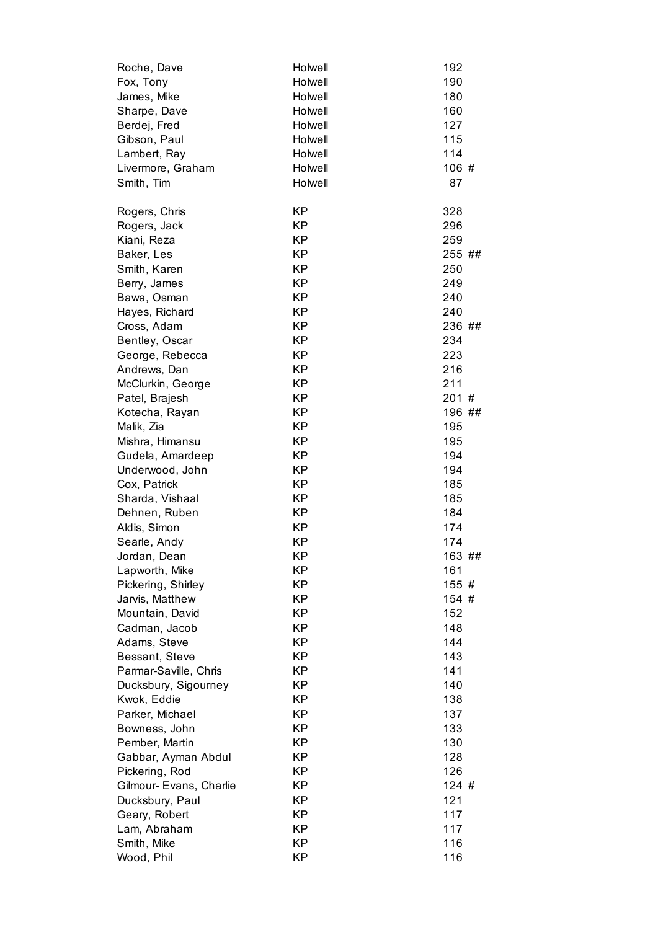| Roche, Dave             | Holwell   | 192    |
|-------------------------|-----------|--------|
| Fox, Tony               | Holwell   | 190    |
| James, Mike             | Holwell   | 180    |
| Sharpe, Dave            | Holwell   | 160    |
| Berdej, Fred            | Holwell   | 127    |
| Gibson, Paul            | Holwell   | 115    |
| Lambert, Ray            | Holwell   | 114    |
| Livermore, Graham       | Holwell   | 106 #  |
| Smith, Tim              | Holwell   | 87     |
| Rogers, Chris           | <b>KP</b> | 328    |
| Rogers, Jack            | <b>KP</b> | 296    |
| Kiani, Reza             | <b>KP</b> | 259    |
| Baker, Les              | <b>KP</b> | 255 ## |
| Smith, Karen            | <b>KP</b> | 250    |
| Berry, James            | <b>KP</b> | 249    |
| Bawa, Osman             | <b>KP</b> | 240    |
| Hayes, Richard          | <b>KP</b> | 240    |
| Cross, Adam             | <b>KP</b> | 236 ## |
| Bentley, Oscar          | <b>KP</b> | 234    |
| George, Rebecca         | <b>KP</b> | 223    |
| Andrews, Dan            | <b>KP</b> | 216    |
| McClurkin, George       | <b>KP</b> | 211    |
| Patel, Brajesh          | <b>KP</b> | 201#   |
| Kotecha, Rayan          | <b>KP</b> | 196 ## |
| Malik, Zia              | <b>KP</b> | 195    |
| Mishra, Himansu         | <b>KP</b> | 195    |
| Gudela, Amardeep        | <b>KP</b> | 194    |
| Underwood, John         | <b>KP</b> | 194    |
| Cox, Patrick            | <b>KP</b> | 185    |
| Sharda, Vishaal         | <b>KP</b> | 185    |
| Dehnen, Ruben           | <b>KP</b> | 184    |
| Aldis, Simon            | <b>KP</b> | 174    |
| Searle, Andy            | <b>KP</b> | 174    |
| Jordan, Dean            | <b>KP</b> | 163 ## |
| Lapworth, Mike          | ΚP        | 161    |
| Pickering, Shirley      | <b>KP</b> | 155 #  |
| Jarvis, Matthew         | <b>KP</b> | 154 #  |
| Mountain, David         | <b>KP</b> | 152    |
| Cadman, Jacob           | <b>KP</b> | 148    |
| Adams, Steve            | <b>KP</b> | 144    |
| Bessant, Steve          | <b>KP</b> | 143    |
| Parmar-Saville, Chris   | <b>KP</b> | 141    |
| Ducksbury, Sigourney    | <b>KP</b> | 140    |
| Kwok, Eddie             | <b>KP</b> | 138    |
| Parker, Michael         | <b>KP</b> | 137    |
| Bowness, John           | <b>KP</b> | 133    |
| Pember, Martin          | <b>KP</b> | 130    |
| Gabbar, Ayman Abdul     | <b>KP</b> | 128    |
| Pickering, Rod          | <b>KP</b> | 126    |
| Gilmour- Evans, Charlie | <b>KP</b> | 124 #  |
| Ducksbury, Paul         | <b>KP</b> | 121    |
| Geary, Robert           | <b>KP</b> | 117    |
| Lam, Abraham            | <b>KP</b> | 117    |
| Smith, Mike             | <b>KP</b> | 116    |
| Wood, Phil              | <b>KP</b> | 116    |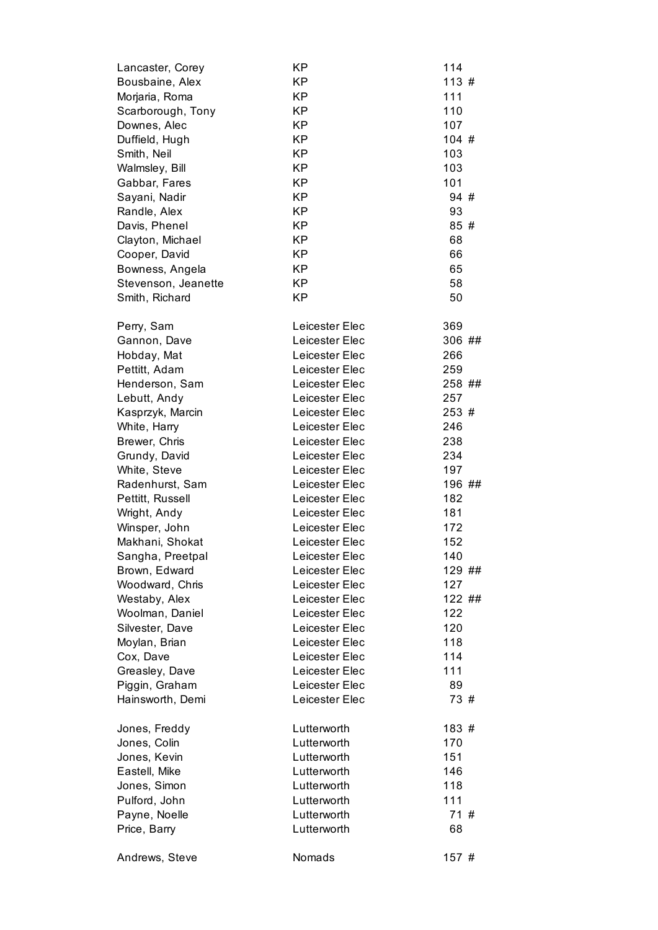| Lancaster, Corey    | KP             | 114    |
|---------------------|----------------|--------|
| Bousbaine, Alex     | <b>KP</b>      | 113#   |
| Morjaria, Roma      | <b>KP</b>      | 111    |
| Scarborough, Tony   | <b>KP</b>      | 110    |
| Downes, Alec        | <b>KP</b>      | 107    |
| Duffield, Hugh      | <b>KP</b>      | 104#   |
| Smith, Neil         | <b>KP</b>      | 103    |
| Walmsley, Bill      | <b>KP</b>      | 103    |
| Gabbar, Fares       | <b>KP</b>      | 101    |
| Sayani, Nadir       | <b>KP</b>      | 94#    |
| Randle, Alex        | <b>KP</b>      | 93     |
| Davis, Phenel       | <b>KP</b>      | 85#    |
| Clayton, Michael    | <b>KP</b>      | 68     |
| Cooper, David       | <b>KP</b>      | 66     |
| Bowness, Angela     | <b>KP</b>      | 65     |
| Stevenson, Jeanette | <b>KP</b>      | 58     |
| Smith, Richard      | <b>KP</b>      | 50     |
| Perry, Sam          | Leicester Elec | 369    |
| Gannon, Dave        | Leicester Elec | 306 ## |
| Hobday, Mat         | Leicester Elec | 266    |
| Pettitt, Adam       | Leicester Elec | 259    |
| Henderson, Sam      | Leicester Elec | 258 ## |
| Lebutt, Andy        | Leicester Elec | 257    |
| Kasprzyk, Marcin    | Leicester Elec | 253 #  |
| White, Harry        | Leicester Elec | 246    |
| Brewer, Chris       | Leicester Elec | 238    |
| Grundy, David       | Leicester Elec | 234    |
| White, Steve        | Leicester Elec | 197    |
| Radenhurst, Sam     | Leicester Elec | 196 ## |
| Pettitt, Russell    | Leicester Elec | 182    |
| Wright, Andy        | Leicester Elec | 181    |
| Winsper, John       | Leicester Elec | 172    |
| Makhani, Shokat     | Leicester Elec | 152    |
| Sangha, Preetpal    | Leicester Elec | 140    |
| Brown, Edward       | Leicester Elec | 129 ## |
| Woodward, Chris     | Leicester Elec | 127    |
| Westaby, Alex       | Leicester Elec | 122 ## |
| Woolman, Daniel     | Leicester Elec | 122    |
| Silvester, Dave     | Leicester Elec | 120    |
| Moylan, Brian       | Leicester Elec | 118    |
| Cox, Dave           | Leicester Elec | 114    |
| Greasley, Dave      | Leicester Elec | 111    |
| Piggin, Graham      | Leicester Elec | 89     |
| Hainsworth, Demi    | Leicester Elec | 73 #   |
| Jones, Freddy       | Lutterworth    | 183 #  |
| Jones, Colin        | Lutterworth    | 170    |
| Jones, Kevin        | Lutterworth    | 151    |
| Eastell, Mike       | Lutterworth    | 146    |
| Jones, Simon        | Lutterworth    | 118    |
| Pulford, John       | Lutterworth    | 111    |
| Payne, Noelle       | Lutterworth    | 71#    |
| Price, Barry        | Lutterworth    | 68     |
| Andrews, Steve      | Nomads         | 157#   |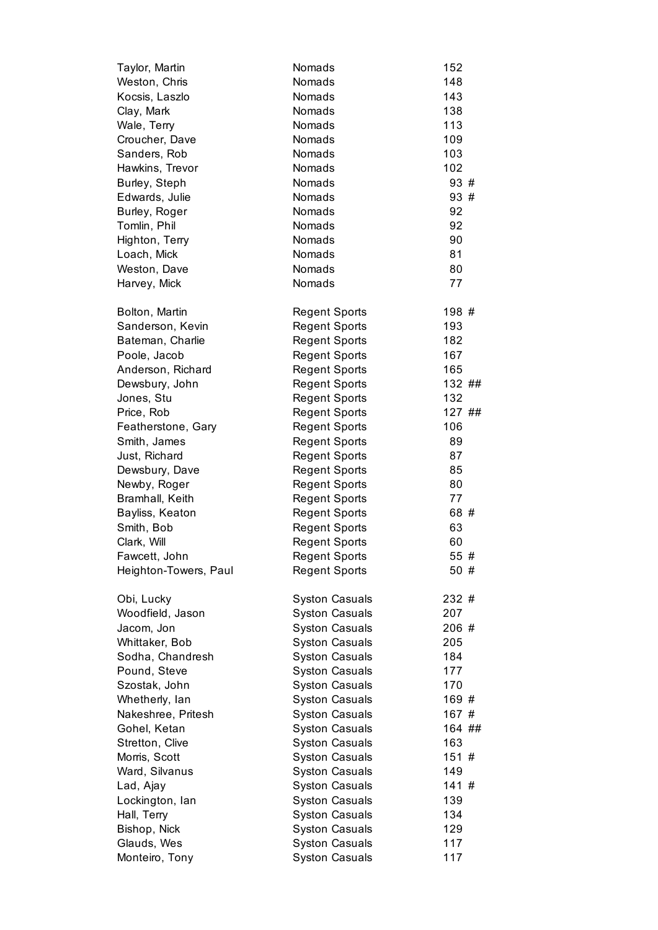| Taylor, Martin        | Nomads                | 152    |
|-----------------------|-----------------------|--------|
| Weston, Chris         | Nomads                | 148    |
| Kocsis, Laszlo        | Nomads                | 143    |
| Clay, Mark            | Nomads                | 138    |
| Wale, Terry           | Nomads                | 113    |
| Croucher, Dave        | Nomads                | 109    |
| Sanders, Rob          | Nomads                | 103    |
| Hawkins, Trevor       | Nomads                | 102    |
| Burley, Steph         | Nomads                | 93#    |
| Edwards, Julie        | Nomads                | 93 #   |
| Burley, Roger         | Nomads                | 92     |
| Tomlin, Phil          | Nomads                | 92     |
| Highton, Terry        | Nomads                | 90     |
| Loach, Mick           | Nomads                | 81     |
| Weston, Dave          | Nomads                | 80     |
| Harvey, Mick          | Nomads                | 77     |
| Bolton, Martin        | <b>Regent Sports</b>  | 198 #  |
| Sanderson, Kevin      | <b>Regent Sports</b>  | 193    |
| Bateman, Charlie      | <b>Regent Sports</b>  | 182    |
| Poole, Jacob          | <b>Regent Sports</b>  | 167    |
| Anderson, Richard     | <b>Regent Sports</b>  | 165    |
| Dewsbury, John        | <b>Regent Sports</b>  | 132 ## |
| Jones, Stu            | <b>Regent Sports</b>  | 132    |
| Price, Rob            | <b>Regent Sports</b>  | 127 ## |
| Featherstone, Gary    | <b>Regent Sports</b>  | 106    |
| Smith, James          | <b>Regent Sports</b>  | 89     |
| Just, Richard         | <b>Regent Sports</b>  | 87     |
| Dewsbury, Dave        | <b>Regent Sports</b>  | 85     |
| Newby, Roger          | <b>Regent Sports</b>  | 80     |
| Bramhall, Keith       | <b>Regent Sports</b>  | 77     |
| Bayliss, Keaton       | <b>Regent Sports</b>  | 68 #   |
| Smith, Bob            | <b>Regent Sports</b>  | 63     |
| Clark, Will           | <b>Regent Sports</b>  | 60     |
| Fawcett, John         | <b>Regent Sports</b>  | 55 #   |
| Heighton-Towers, Paul | <b>Regent Sports</b>  | 50#    |
| Obi, Lucky            | <b>Syston Casuals</b> | 232 #  |
| Woodfield, Jason      | <b>Syston Casuals</b> | 207    |
| Jacom, Jon            | <b>Syston Casuals</b> | 206#   |
| Whittaker, Bob        | <b>Syston Casuals</b> | 205    |
| Sodha, Chandresh      | <b>Syston Casuals</b> | 184    |
| Pound, Steve          | <b>Syston Casuals</b> | 177    |
| Szostak, John         | <b>Syston Casuals</b> | 170    |
| Whetherly, lan        | <b>Syston Casuals</b> | 169#   |
| Nakeshree, Pritesh    | <b>Syston Casuals</b> | 167#   |
| Gohel, Ketan          | <b>Syston Casuals</b> | 164 ## |
| Stretton, Clive       | <b>Syston Casuals</b> | 163    |
| Morris, Scott         | <b>Syston Casuals</b> | 151#   |
| Ward, Silvanus        | <b>Syston Casuals</b> | 149    |
| Lad, Ajay             | <b>Syston Casuals</b> | 141#   |
| Lockington, lan       | <b>Syston Casuals</b> | 139    |
| Hall, Terry           | <b>Syston Casuals</b> | 134    |
| Bishop, Nick          | <b>Syston Casuals</b> | 129    |
| Glauds, Wes           | <b>Syston Casuals</b> | 117    |
| Monteiro, Tony        | <b>Syston Casuals</b> | 117    |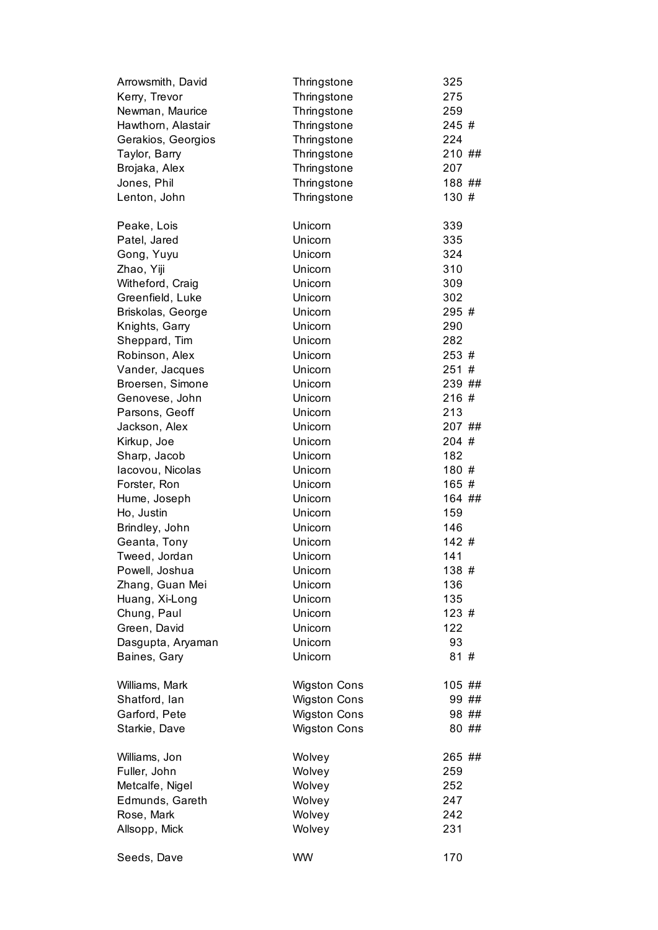| Arrowsmith, David                 | Thringstone         | 325         |
|-----------------------------------|---------------------|-------------|
| Kerry, Trevor                     | Thringstone         | 275         |
| Newman, Maurice                   | Thringstone         | 259         |
| Hawthorn, Alastair                | Thringstone         | 245 #       |
| Gerakios, Georgios                | Thringstone         | 224         |
| Taylor, Barry                     | Thringstone         | 210 ##      |
| Brojaka, Alex                     | Thringstone         | 207         |
| Jones, Phil                       | Thringstone         | 188##       |
| Lenton, John                      | Thringstone         | 130#        |
| Peake, Lois                       | Unicorn             | 339         |
| Patel, Jared                      | Unicorn             | 335         |
| Gong, Yuyu                        | Unicorn             | 324         |
| Zhao, Yiji                        | Unicorn             | 310         |
| Witheford, Craig                  | Unicorn             | 309         |
| Greenfield, Luke                  | Unicorn             | 302         |
| Briskolas, George                 | Unicorn             | 295 #       |
| Knights, Garry                    | Unicorn             | 290         |
| Sheppard, Tim                     | Unicorn             | 282         |
| Robinson, Alex                    | Unicorn             | 253#        |
| Vander, Jacques                   | Unicorn             | 251#        |
| Broersen, Simone                  | Unicorn             | 239 ##      |
| Genovese, John                    | Unicorn             | 216#        |
| Parsons, Geoff                    | Unicorn             | 213         |
| Jackson, Alex                     | Unicorn             | 207 ##      |
| Kirkup, Joe                       | Unicorn             | 204#        |
| Sharp, Jacob                      | Unicorn             | 182         |
| lacovou, Nicolas                  | Unicorn             | 180 #       |
| Forster, Ron                      | Unicorn             | 165#        |
| Hume, Joseph                      | Unicorn             | 164 ##      |
| Ho, Justin                        | Unicorn             | 159         |
| Brindley, John                    | Unicorn             | 146         |
| Geanta, Tony                      | Unicorn             | 142#        |
| Tweed, Jordan                     | Unicorn             | 141         |
| Powell, Joshua                    | Unicorn             | 138 #       |
| Zhang, Guan Mei                   | Unicorn             | 136         |
| Huang, Xi-Long<br>Chung, Paul     | Unicorn<br>Unicorn  | 135<br>123# |
| Green, David                      | Unicorn             | 122         |
|                                   | Unicorn             | 93          |
| Dasgupta, Aryaman<br>Baines, Gary | Unicorn             | 81#         |
| Williams, Mark                    | <b>Wigston Cons</b> | 105 ##      |
| Shatford, lan                     | <b>Wigston Cons</b> | 99##        |
| Garford, Pete                     | <b>Wigston Cons</b> | 98 ##       |
| Starkie, Dave                     | <b>Wigston Cons</b> | 80 ##       |
| Williams, Jon                     | Wolvey              | 265 ##      |
| Fuller, John                      | Wolvey              | 259         |
| Metcalfe, Nigel                   | Wolvey              | 252         |
| Edmunds, Gareth                   | Wolvey              | 247         |
| Rose, Mark                        | Wolvey              | 242         |
| Allsopp, Mick                     | Wolvey              | 231         |
| Seeds, Dave                       | <b>WW</b>           | 170         |